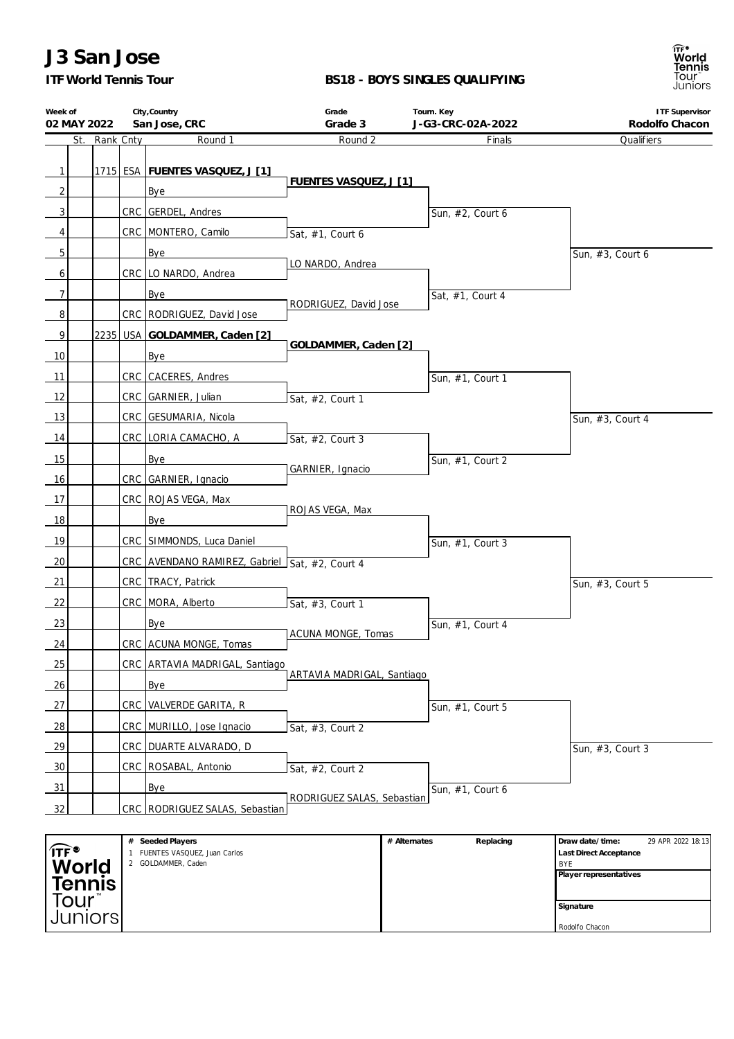# **J3 San Jose**

*ITF World Tennis Tour*

#### **BS18 - BOYS SINGLES QUALIFYING**



| Week of            |           | City, Country                                      | Grade                         | Tourn. Key                  | <b>ITF Supervisor</b>                                          |
|--------------------|-----------|----------------------------------------------------|-------------------------------|-----------------------------|----------------------------------------------------------------|
| 02 MAY 2022<br>St. | Rank Cnty | San Jose, CRC<br>Round 1                           | Grade 3<br>Round 2            | J-G3-CRC-02A-2022<br>Finals | Rodolfo Chacon<br>Qualifiers                                   |
|                    |           |                                                    |                               |                             |                                                                |
| $\mathbf{1}$       |           | 1715 ESA FUENTES VASQUEZ, J [1]                    |                               |                             |                                                                |
| $\overline{2}$     |           | Bye                                                | <b>FUENTES VASQUEZ, J [1]</b> |                             |                                                                |
| 3                  |           | CRC GERDEL, Andres                                 |                               | Sun, #2, Court 6            |                                                                |
| 4                  |           | CRC MONTERO, Camilo                                | Sat, #1, Court 6              |                             |                                                                |
| 5                  |           | Bye                                                |                               |                             | Sun, #3, Court 6                                               |
| 6                  |           | CRC   LO NARDO, Andrea                             | LO NARDO, Andrea              |                             |                                                                |
| $\overline{7}$     |           | Bye                                                |                               | Sat, #1, Court 4            |                                                                |
| 8                  |           | CRC   RODRIGUEZ, David Jose                        | RODRIGUEZ, David Jose         |                             |                                                                |
| 9                  |           | 2235 USA GOLDAMMER, Caden [2]                      |                               |                             |                                                                |
| 10                 |           | Bye                                                | GOLDAMMER, Caden [2]          |                             |                                                                |
| 11                 |           | CRC CACERES, Andres                                |                               | Sun, #1, Court 1            |                                                                |
| 12                 |           | CRC GARNIER, Julian                                | Sat, #2, Court 1              |                             |                                                                |
| 13                 |           | CRC GESUMARIA, Nicola                              |                               |                             | Sun, #3, Court 4                                               |
| 14                 |           | CRC LORIA CAMACHO, A                               | Sat, #2, Court 3              |                             |                                                                |
| 15                 |           |                                                    |                               |                             |                                                                |
| 16                 |           | Bye                                                | GARNIER, Ignacio              | Sun, #1, Court 2            |                                                                |
| 17                 |           | CRC GARNIER, Ignacio<br>CRC   ROJAS VEGA, Max      |                               |                             |                                                                |
| 18                 |           |                                                    | ROJAS VEGA, Max               |                             |                                                                |
|                    |           | Bye                                                |                               |                             |                                                                |
| 19                 |           | CRC SIMMONDS, Luca Daniel                          |                               | Sun, #1, Court 3            |                                                                |
| 20                 |           | CRC AVENDANO RAMIREZ, Gabriel Sat, #2, Court 4     |                               |                             |                                                                |
| 21                 |           | CRC TRACY, Patrick                                 |                               |                             | Sun, #3, Court 5                                               |
| 22                 |           | CRC   MORA, Alberto                                | Sat, #3, Court 1              |                             |                                                                |
| 23                 |           | Bye                                                | ACUNA MONGE, Tomas            | Sun, #1, Court 4            |                                                                |
| 24                 |           | CRC ACUNA MONGE, Tomas                             |                               |                             |                                                                |
| 25                 |           | CRC ARTAVIA MADRIGAL, Santiago                     | ARTAVIA MADRIGAL, Santiago    |                             |                                                                |
| 26                 |           | Bye                                                |                               |                             |                                                                |
| 27                 |           | CRC   VALVERDE GARITA, R                           |                               | Sun, #1, Court 5            |                                                                |
| 28                 |           | CRC MURILLO, Jose Ignacio                          | Sat, #3, Court 2              |                             |                                                                |
| 29                 |           | CRC   DUARTE ALVARADO, D                           |                               |                             | Sun, #3, Court 3                                               |
| 30                 |           | CRC   ROSABAL, Antonio                             | Sat, #2, Court 2              |                             |                                                                |
| 31                 |           | <b>Bye</b>                                         | RODRIGUEZ SALAS, Sebastian    | Sun, #1, Court 6            |                                                                |
| 32                 |           | CRC RODRIGUEZ SALAS, Sebastian                     |                               |                             |                                                                |
|                    |           |                                                    |                               |                             |                                                                |
| TF®∫               |           | # Seeded Players<br>1 FUENTES VASQUEZ, Juan Carlos |                               | Replacing<br># Alternates   | Draw date/time:<br>29 APR 2022 18:13<br>Last Direct Acceptance |

|                    | Seeded Players<br>#          | # Alternates | Replacing | I Draw date/time:             | 29 APR 2022 18:13 |
|--------------------|------------------------------|--------------|-----------|-------------------------------|-------------------|
| $\sqrt{\text{TF}}$ | FUENTES VASQUEZ, Juan Carlos |              |           | <b>Last Direct Acceptance</b> |                   |
| World              | GOLDAMMER, Caden             |              |           | <b>BYF</b>                    |                   |
|                    |                              |              |           | Player representatives        |                   |
| Tennis             |                              |              |           |                               |                   |
| Tour               |                              |              |           |                               |                   |
|                    |                              |              |           | Signature                     |                   |
| Juniors            |                              |              |           |                               |                   |
|                    |                              |              |           | Rodolfo Chacon                |                   |